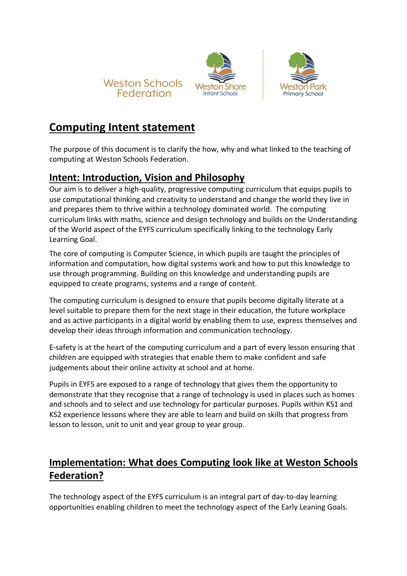





## **Computing Intent statement**

The purpose of this document is to clarify the how, why and what linked to the teaching of computing at Weston Schools Federation.

## **Intent: Introduction, Vision and Philosophy**

Our aim is to deliver a high-quality, progressive computing curriculum that equips pupils to use computational thinking and creativity to understand and change the world they live in and prepares them to thrive within a technology dominated world. The computing curriculum links with maths, science and design technology and builds on the Understanding of the World aspect of the EYFS curriculum specifically linking to the technology Early Learning Goal.

The core of computing is Computer Science, in which pupils are taught the principles of information and computation, how digital systems work and how to put this knowledge to use through programming. Building on this knowledge and understanding pupils are equipped to create programs, systems and a range of content.

The computing curriculum is designed to ensure that pupils become digitally literate at a level suitable to prepare them for the next stage in their education, the future workplace and as active participants in a digital world by enabling them to use, express themselves and develop their ideas through information and communication technology.

E-safety is at the heart of the computing curriculum and a part of every lesson ensuring that children are equipped with strategies that enable them to make confident and safe judgements about their online activity at school and at home.

Pupils in EYFS are exposed to a range of technology that gives them the opportunity to demonstrate that they recognise that a range of technology is used in places such as homes and schools and to select and use technology for particular purposes. Pupils within KS1 and KS2 experience lessons where they are able to learn and build on skills that progress from lesson to lesson, unit to unit and year group to year group.

## **Implementation: What does Computing look like at Weston Schools Federation?**

The technology aspect of the EYFS curriculum is an integral part of day-to-day learning opportunities enabling children to meet the technology aspect of the Early Leaning Goals.